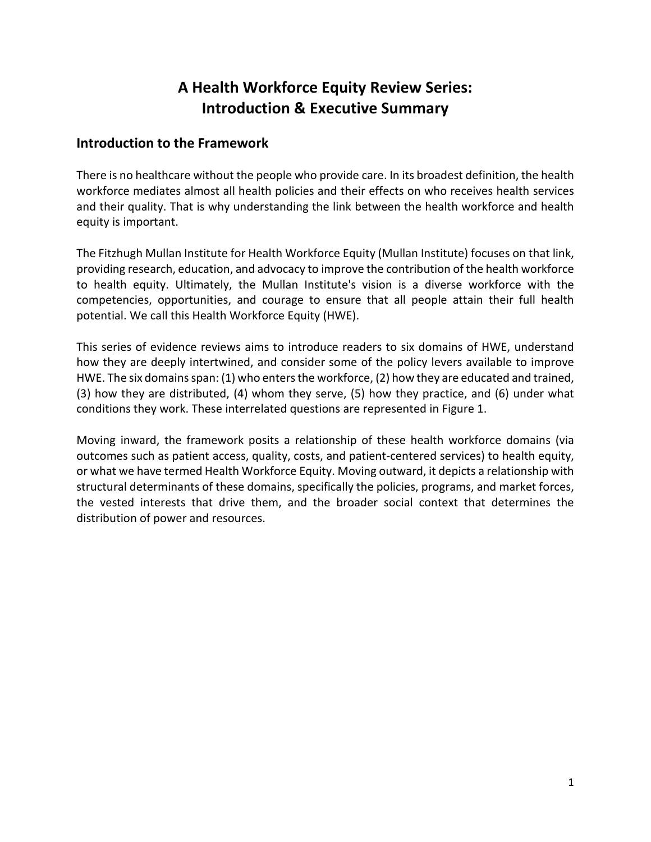# **A Health Workforce Equity Review Series: Introduction & Executive Summary**

# **Introduction to the Framework**

There is no healthcare without the people who provide care. In its broadest definition, the health workforce mediates almost all health policies and their effects on who receives health services and their quality. That is why understanding the link between the health workforce and health equity is important.

The Fitzhugh Mullan Institute for Health Workforce Equity (Mullan Institute) focuses on that link, providing research, education, and advocacy to improve the contribution of the health workforce to health equity. Ultimately, the Mullan Institute's vision is a diverse workforce with the competencies, opportunities, and courage to ensure that all people attain their full health potential. We call this Health Workforce Equity (HWE).

This series of evidence reviews aims to introduce readers to six domains of HWE, understand how they are deeply intertwined, and consider some of the policy levers available to improve HWE. The six domains span: (1) who enters the workforce, (2) how they are educated and trained, (3) how they are distributed, (4) whom they serve, (5) how they practice, and (6) under what conditions they work. These interrelated questions are represented in Figure 1.

Moving inward, the framework posits a relationship of these health workforce domains (via outcomes such as patient access, quality, costs, and patient-centered services) to health equity, or what we have termed Health Workforce Equity. Moving outward, it depicts a relationship with structural determinants of these domains, specifically the policies, programs, and market forces, the vested interests that drive them, and the broader social context that determines the distribution of power and resources.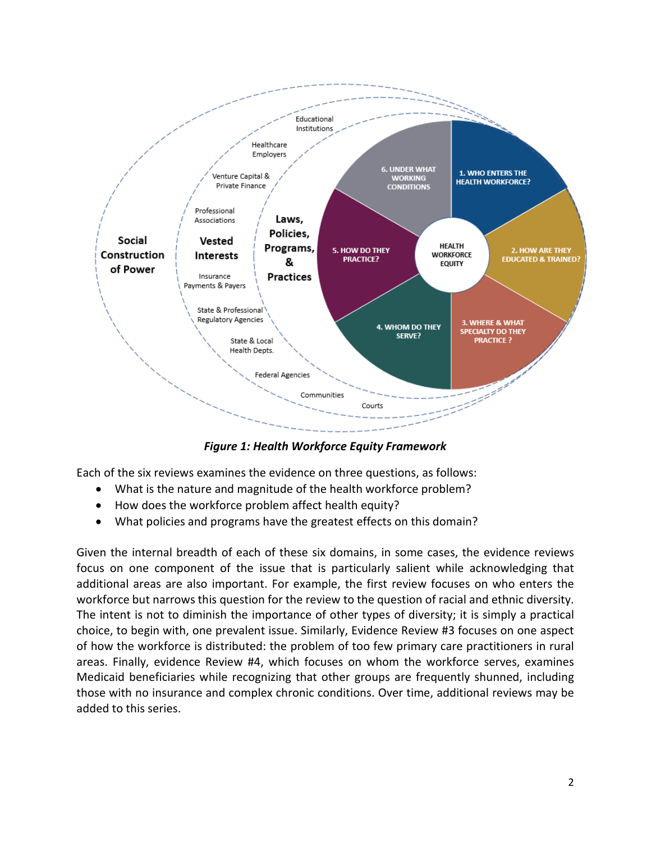

*Figure 1: Health Workforce Equity Framework*

Each of the six reviews examines the evidence on three questions, as follows:

- What is the nature and magnitude of the health workforce problem?
- How does the workforce problem affect health equity?
- What policies and programs have the greatest effects on this domain?

Given the internal breadth of each of these six domains, in some cases, the evidence reviews focus on one component of the issue that is particularly salient while acknowledging that additional areas are also important. For example, the first review focuses on who enters the workforce but narrows this question for the review to the question of racial and ethnic diversity. The intent is not to diminish the importance of other types of diversity; it is simply a practical choice, to begin with, one prevalent issue. Similarly, Evidence Review #3 focuses on one aspect of how the workforce is distributed: the problem of too few primary care practitioners in rural areas. Finally, evidence Review #4, which focuses on whom the workforce serves, examines Medicaid beneficiaries while recognizing that other groups are frequently shunned, including those with no insurance and complex chronic conditions. Over time, additional reviews may be added to this series.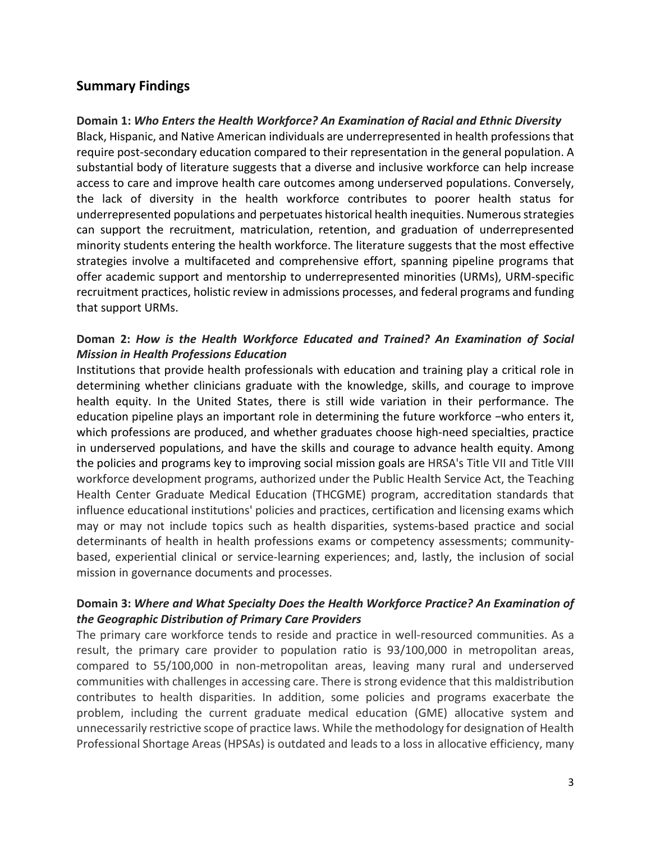# **Summary Findings**

**Domain 1:** *Who Enters the Health Workforce? An Examination of Racial and Ethnic Diversity* Black, Hispanic, and Native American individuals are underrepresented in health professions that require post-secondary education compared to their representation in the general population. A substantial body of literature suggests that a diverse and inclusive workforce can help increase access to care and improve health care outcomes among underserved populations. Conversely, the lack of diversity in the health workforce contributes to poorer health status for underrepresented populations and perpetuates historical health inequities. Numerous strategies can support the recruitment, matriculation, retention, and graduation of underrepresented minority students entering the health workforce. The literature suggests that the most effective strategies involve a multifaceted and comprehensive effort, spanning pipeline programs that offer academic support and mentorship to underrepresented minorities (URMs), URM-specific recruitment practices, holistic review in admissions processes, and federal programs and funding that support URMs.

## **Doman 2:** *How is the Health Workforce Educated and Trained? An Examination of Social Mission in Health Professions Education*

Institutions that provide health professionals with education and training play a critical role in determining whether clinicians graduate with the knowledge, skills, and courage to improve health equity. In the United States, there is still wide variation in their performance. The education pipeline plays an important role in determining the future workforce −who enters it, which professions are produced, and whether graduates choose high-need specialties, practice in underserved populations, and have the skills and courage to advance health equity. Among the policies and programs key to improving social mission goals are HRSA's Title VII and Title VIII workforce development programs, authorized under the Public Health Service Act, the Teaching Health Center Graduate Medical Education (THCGME) program, accreditation standards that influence educational institutions' policies and practices, certification and licensing exams which may or may not include topics such as health disparities, systems-based practice and social determinants of health in health professions exams or competency assessments; communitybased, experiential clinical or service-learning experiences; and, lastly, the inclusion of social mission in governance documents and processes.

### **Domain 3:** *Where and What Specialty Does the Health Workforce Practice? An Examination of the Geographic Distribution of Primary Care Providers*

The primary care workforce tends to reside and practice in well-resourced communities. As a result, the primary care provider to population ratio is 93/100,000 in metropolitan areas, compared to 55/100,000 in non-metropolitan areas, leaving many rural and underserved communities with challenges in accessing care. There is strong evidence that this maldistribution contributes to health disparities. In addition, some policies and programs exacerbate the problem, including the current graduate medical education (GME) allocative system and unnecessarily restrictive scope of practice laws. While the methodology for designation of Health Professional Shortage Areas (HPSAs) is outdated and leads to a loss in allocative efficiency, many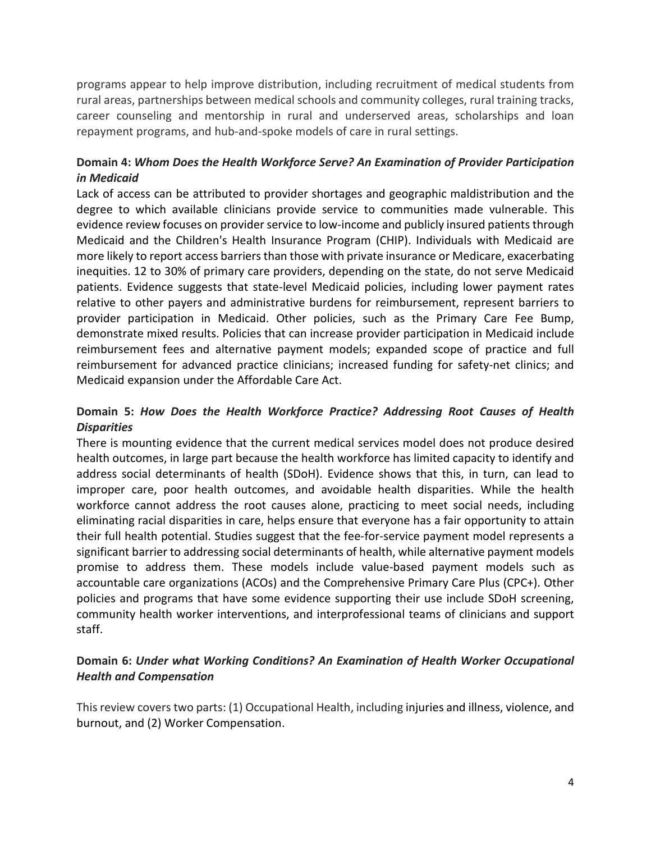programs appear to help improve distribution, including recruitment of medical students from rural areas, partnerships between medical schools and community colleges, rural training tracks, career counseling and mentorship in rural and underserved areas, scholarships and loan repayment programs, and hub-and-spoke models of care in rural settings.

#### **Domain 4:** *Whom Does the Health Workforce Serve? An Examination of Provider Participation in Medicaid*

Lack of access can be attributed to provider shortages and geographic maldistribution and the degree to which available clinicians provide service to communities made vulnerable. This evidence review focuses on provider service to low-income and publicly insured patients through Medicaid and the Children's Health Insurance Program (CHIP). Individuals with Medicaid are more likely to report access barriers than those with private insurance or Medicare, exacerbating inequities. 12 to 30% of primary care providers, depending on the state, do not serve Medicaid patients. Evidence suggests that state-level Medicaid policies, including lower payment rates relative to other payers and administrative burdens for reimbursement, represent barriers to provider participation in Medicaid. Other policies, such as the Primary Care Fee Bump, demonstrate mixed results. Policies that can increase provider participation in Medicaid include reimbursement fees and alternative payment models; expanded scope of practice and full reimbursement for advanced practice clinicians; increased funding for safety-net clinics; and Medicaid expansion under the Affordable Care Act.

### **Domain 5:** *How Does the Health Workforce Practice? Addressing Root Causes of Health Disparities*

There is mounting evidence that the current medical services model does not produce desired health outcomes, in large part because the health workforce has limited capacity to identify and address social determinants of health (SDoH). Evidence shows that this, in turn, can lead to improper care, poor health outcomes, and avoidable health disparities. While the health workforce cannot address the root causes alone, practicing to meet social needs, including eliminating racial disparities in care, helps ensure that everyone has a fair opportunity to attain their full health potential. Studies suggest that the fee-for-service payment model represents a significant barrier to addressing social determinants of health, while alternative payment models promise to address them. These models include value-based payment models such as accountable care organizations (ACOs) and the Comprehensive Primary Care Plus (CPC+). Other policies and programs that have some evidence supporting their use include SDoH screening, community health worker interventions, and interprofessional teams of clinicians and support staff.

#### **Domain 6:** *Under what Working Conditions? An Examination of Health Worker Occupational Health and Compensation*

This review covers two parts: (1) Occupational Health, including injuries and illness, violence, and burnout, and (2) Worker Compensation.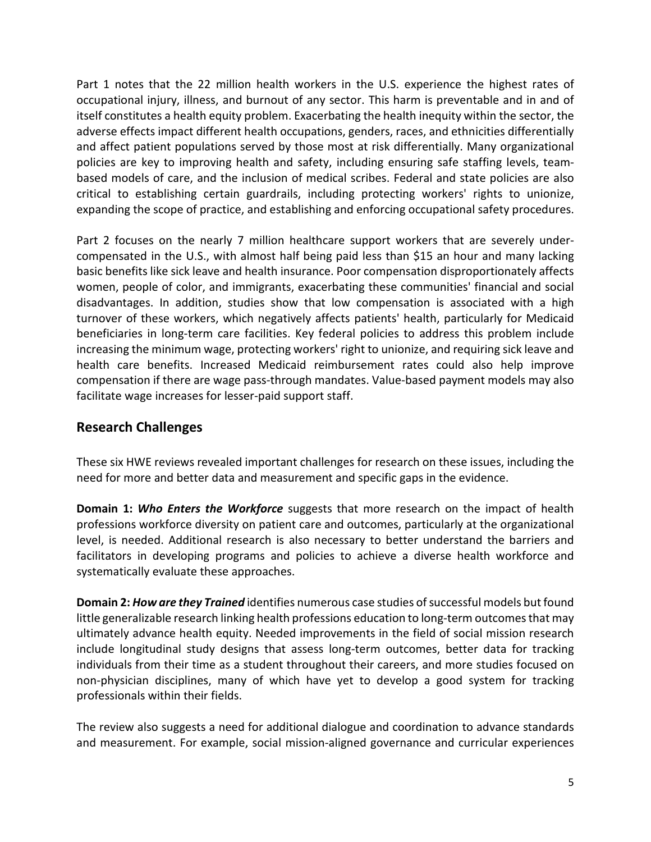Part 1 notes that the 22 million health workers in the U.S. experience the highest rates of occupational injury, illness, and burnout of any sector. This harm is preventable and in and of itself constitutes a health equity problem. Exacerbating the health inequity within the sector, the adverse effects impact different health occupations, genders, races, and ethnicities differentially and affect patient populations served by those most at risk differentially. Many organizational policies are key to improving health and safety, including ensuring safe staffing levels, teambased models of care, and the inclusion of medical scribes. Federal and state policies are also critical to establishing certain guardrails, including protecting workers' rights to unionize, expanding the scope of practice, and establishing and enforcing occupational safety procedures.

Part 2 focuses on the nearly 7 million healthcare support workers that are severely undercompensated in the U.S., with almost half being paid less than \$15 an hour and many lacking basic benefits like sick leave and health insurance. Poor compensation disproportionately affects women, people of color, and immigrants, exacerbating these communities' financial and social disadvantages. In addition, studies show that low compensation is associated with a high turnover of these workers, which negatively affects patients' health, particularly for Medicaid beneficiaries in long-term care facilities. Key federal policies to address this problem include increasing the minimum wage, protecting workers' right to unionize, and requiring sick leave and health care benefits. Increased Medicaid reimbursement rates could also help improve compensation if there are wage pass-through mandates. Value-based payment models may also facilitate wage increases for lesser-paid support staff.

# **Research Challenges**

These six HWE reviews revealed important challenges for research on these issues, including the need for more and better data and measurement and specific gaps in the evidence.

**Domain 1:** *Who Enters the Workforce* suggests that more research on the impact of health professions workforce diversity on patient care and outcomes, particularly at the organizational level, is needed. Additional research is also necessary to better understand the barriers and facilitators in developing programs and policies to achieve a diverse health workforce and systematically evaluate these approaches.

**Domain 2:** *How are they Trained* identifies numerous case studies of successful models but found little generalizable research linking health professions education to long-term outcomes that may ultimately advance health equity. Needed improvements in the field of social mission research include longitudinal study designs that assess long-term outcomes, better data for tracking individuals from their time as a student throughout their careers, and more studies focused on non-physician disciplines, many of which have yet to develop a good system for tracking professionals within their fields.

The review also suggests a need for additional dialogue and coordination to advance standards and measurement. For example, social mission-aligned governance and curricular experiences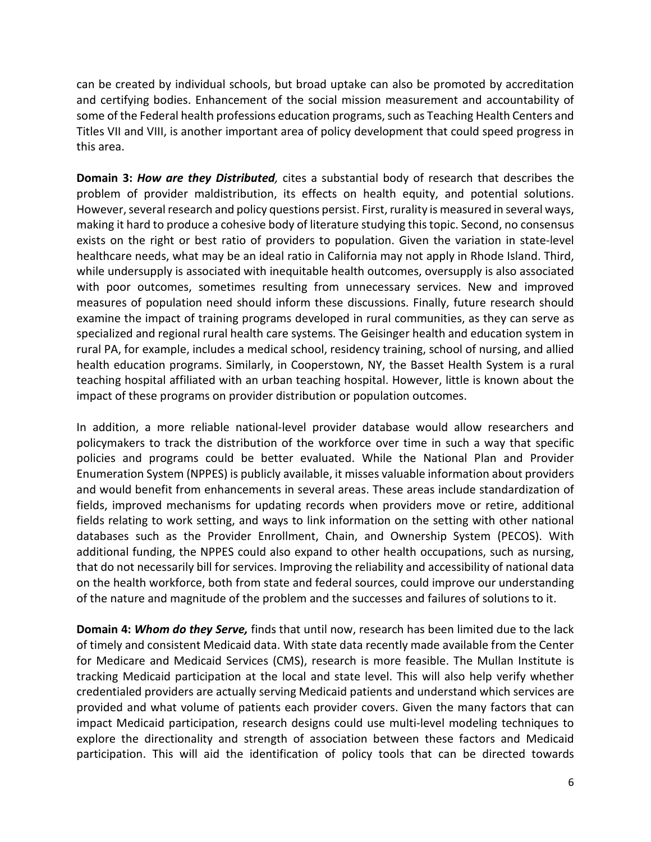can be created by individual schools, but broad uptake can also be promoted by accreditation and certifying bodies. Enhancement of the social mission measurement and accountability of some of the Federal health professions education programs, such as Teaching Health Centers and Titles VII and VIII, is another important area of policy development that could speed progress in this area.

**Domain 3:** *How are they Distributed,* cites a substantial body of research that describes the problem of provider maldistribution, its effects on health equity, and potential solutions. However, several research and policy questions persist. First, rurality is measured in several ways, making it hard to produce a cohesive body of literature studying this topic. Second, no consensus exists on the right or best ratio of providers to population. Given the variation in state-level healthcare needs, what may be an ideal ratio in California may not apply in Rhode Island. Third, while undersupply is associated with inequitable health outcomes, oversupply is also associated with poor outcomes, sometimes resulting from unnecessary services. New and improved measures of population need should inform these discussions. Finally, future research should examine the impact of training programs developed in rural communities, as they can serve as specialized and regional rural health care systems. The Geisinger health and education system in rural PA, for example, includes a medical school, residency training, school of nursing, and allied health education programs. Similarly, in Cooperstown, NY, the Basset Health System is a rural teaching hospital affiliated with an urban teaching hospital. However, little is known about the impact of these programs on provider distribution or population outcomes.

In addition, a more reliable national-level provider database would allow researchers and policymakers to track the distribution of the workforce over time in such a way that specific policies and programs could be better evaluated. While the National Plan and Provider Enumeration System (NPPES) is publicly available, it misses valuable information about providers and would benefit from enhancements in several areas. These areas include standardization of fields, improved mechanisms for updating records when providers move or retire, additional fields relating to work setting, and ways to link information on the setting with other national databases such as the Provider Enrollment, Chain, and Ownership System (PECOS). With additional funding, the NPPES could also expand to other health occupations, such as nursing, that do not necessarily bill for services. Improving the reliability and accessibility of national data on the health workforce, both from state and federal sources, could improve our understanding of the nature and magnitude of the problem and the successes and failures of solutions to it.

**Domain 4:** *Whom do they Serve,* finds that until now, research has been limited due to the lack of timely and consistent Medicaid data. With state data recently made available from the Center for Medicare and Medicaid Services (CMS), research is more feasible. The Mullan Institute is tracking Medicaid participation at the local and state level. This will also help verify whether credentialed providers are actually serving Medicaid patients and understand which services are provided and what volume of patients each provider covers. Given the many factors that can impact Medicaid participation, research designs could use multi-level modeling techniques to explore the directionality and strength of association between these factors and Medicaid participation. This will aid the identification of policy tools that can be directed towards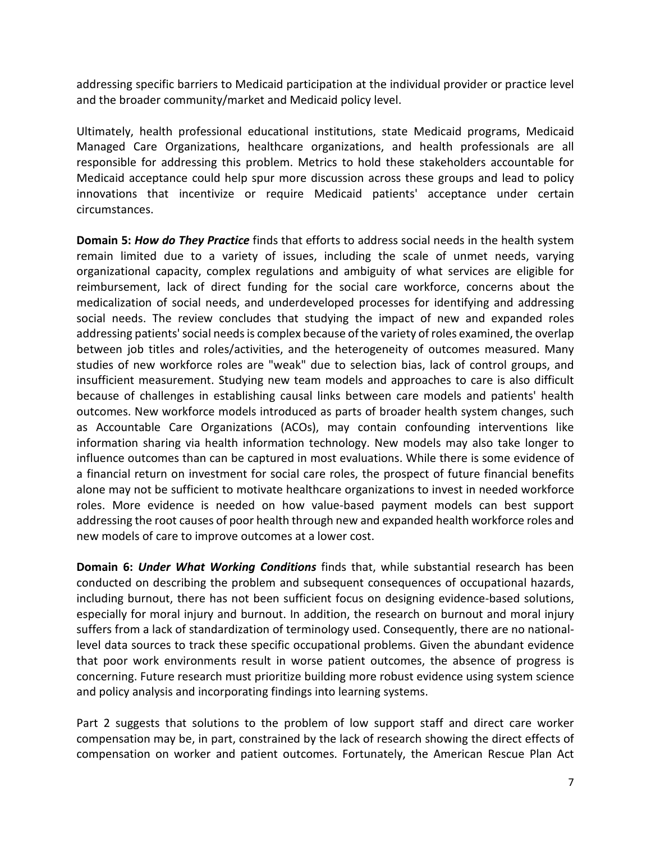addressing specific barriers to Medicaid participation at the individual provider or practice level and the broader community/market and Medicaid policy level.

Ultimately, health professional educational institutions, state Medicaid programs, Medicaid Managed Care Organizations, healthcare organizations, and health professionals are all responsible for addressing this problem. Metrics to hold these stakeholders accountable for Medicaid acceptance could help spur more discussion across these groups and lead to policy innovations that incentivize or require Medicaid patients' acceptance under certain circumstances.

**Domain 5:** *How do They Practice* finds that efforts to address social needs in the health system remain limited due to a variety of issues, including the scale of unmet needs, varying organizational capacity, complex regulations and ambiguity of what services are eligible for reimbursement, lack of direct funding for the social care workforce, concerns about the medicalization of social needs, and underdeveloped processes for identifying and addressing social needs. The review concludes that studying the impact of new and expanded roles addressing patients' social needs is complex because of the variety of roles examined, the overlap between job titles and roles/activities, and the heterogeneity of outcomes measured. Many studies of new workforce roles are "weak" due to selection bias, lack of control groups, and insufficient measurement. Studying new team models and approaches to care is also difficult because of challenges in establishing causal links between care models and patients' health outcomes. New workforce models introduced as parts of broader health system changes, such as Accountable Care Organizations (ACOs), may contain confounding interventions like information sharing via health information technology. New models may also take longer to influence outcomes than can be captured in most evaluations. While there is some evidence of a financial return on investment for social care roles, the prospect of future financial benefits alone may not be sufficient to motivate healthcare organizations to invest in needed workforce roles. More evidence is needed on how value-based payment models can best support addressing the root causes of poor health through new and expanded health workforce roles and new models of care to improve outcomes at a lower cost.

**Domain 6:** *Under What Working Conditions* finds that, while substantial research has been conducted on describing the problem and subsequent consequences of occupational hazards, including burnout, there has not been sufficient focus on designing evidence-based solutions, especially for moral injury and burnout. In addition, the research on burnout and moral injury suffers from a lack of standardization of terminology used. Consequently, there are no nationallevel data sources to track these specific occupational problems. Given the abundant evidence that poor work environments result in worse patient outcomes, the absence of progress is concerning. Future research must prioritize building more robust evidence using system science and policy analysis and incorporating findings into learning systems.

Part 2 suggests that solutions to the problem of low support staff and direct care worker compensation may be, in part, constrained by the lack of research showing the direct effects of compensation on worker and patient outcomes. Fortunately, the American Rescue Plan Act